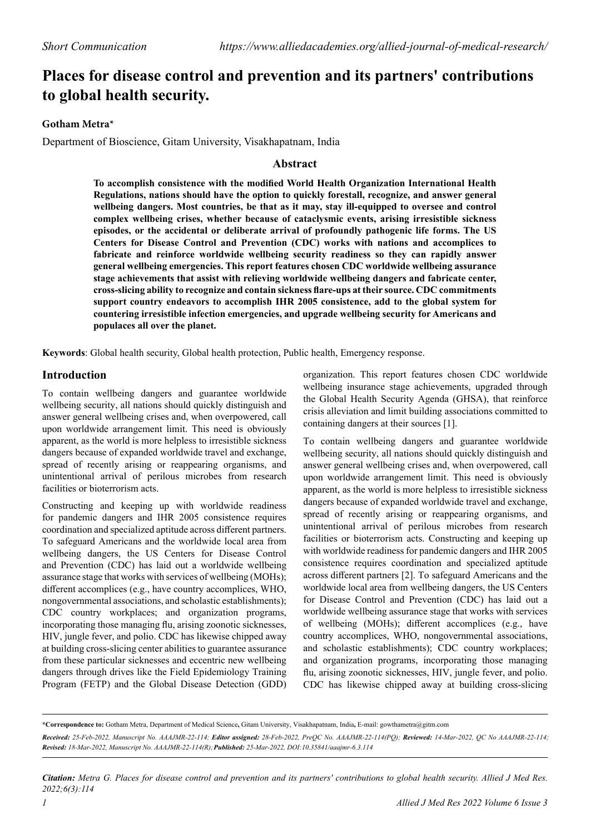# **Places for disease control and prevention and its partners' contributions to global health security.**

## **Gotham Metra\***

Department of Bioscience, Gitam University, Visakhapatnam, India

### **Abstract**

**To accomplish consistence with the modified World Health Organization International Health Regulations, nations should have the option to quickly forestall, recognize, and answer general wellbeing dangers. Most countries, be that as it may, stay ill-equipped to oversee and control complex wellbeing crises, whether because of cataclysmic events, arising irresistible sickness episodes, or the accidental or deliberate arrival of profoundly pathogenic life forms. The US Centers for Disease Control and Prevention (CDC) works with nations and accomplices to fabricate and reinforce worldwide wellbeing security readiness so they can rapidly answer general wellbeing emergencies. This report features chosen CDC worldwide wellbeing assurance stage achievements that assist with relieving worldwide wellbeing dangers and fabricate center, cross-slicing ability to recognize and contain sickness flare-ups at their source. CDC commitments support country endeavors to accomplish IHR 2005 consistence, add to the global system for countering irresistible infection emergencies, and upgrade wellbeing security for Americans and populaces all over the planet.**

**Keywords**: Global health security, Global health protection, Public health, Emergency response.

## **Introduction**

To contain wellbeing dangers and guarantee worldwide wellbeing security, all nations should quickly distinguish and answer general wellbeing crises and, when overpowered, call upon worldwide arrangement limit. This need is obviously apparent, as the world is more helpless to irresistible sickness dangers because of expanded worldwide travel and exchange, spread of recently arising or reappearing organisms, and unintentional arrival of perilous microbes from research facilities or bioterrorism acts.

Constructing and keeping up with worldwide readiness for pandemic dangers and IHR 2005 consistence requires coordination and specialized aptitude across different partners. To safeguard Americans and the worldwide local area from wellbeing dangers, the US Centers for Disease Control and Prevention (CDC) has laid out a worldwide wellbeing assurance stage that works with services of wellbeing (MOHs); different accomplices (e.g., have country accomplices, WHO, nongovernmental associations, and scholastic establishments); CDC country workplaces; and organization programs, incorporating those managing flu, arising zoonotic sicknesses, HIV, jungle fever, and polio. CDC has likewise chipped away at building cross-slicing center abilities to guarantee assurance from these particular sicknesses and eccentric new wellbeing dangers through drives like the Field Epidemiology Training Program (FETP) and the Global Disease Detection (GDD)

organization. This report features chosen CDC worldwide wellbeing insurance stage achievements, upgraded through the Global Health Security Agenda (GHSA), that reinforce crisis alleviation and limit building associations committed to containing dangers at their sources [1].

To contain wellbeing dangers and guarantee worldwide wellbeing security, all nations should quickly distinguish and answer general wellbeing crises and, when overpowered, call upon worldwide arrangement limit. This need is obviously apparent, as the world is more helpless to irresistible sickness dangers because of expanded worldwide travel and exchange, spread of recently arising or reappearing organisms, and unintentional arrival of perilous microbes from research facilities or bioterrorism acts. Constructing and keeping up with worldwide readiness for pandemic dangers and IHR 2005 consistence requires coordination and specialized aptitude across different partners [2]. To safeguard Americans and the worldwide local area from wellbeing dangers, the US Centers for Disease Control and Prevention (CDC) has laid out a worldwide wellbeing assurance stage that works with services of wellbeing (MOHs); different accomplices (e.g., have country accomplices, WHO, nongovernmental associations, and scholastic establishments); CDC country workplaces; and organization programs, incorporating those managing flu, arising zoonotic sicknesses, HIV, jungle fever, and polio. CDC has likewise chipped away at building cross-slicing

**\*Correspondence to:** Gotham Metra, Department of Medical Science**,** Gitam University, Visakhapatnam, India**,** E-mail: gowthametra@gitm.com *Received: 25-Feb-2022, Manuscript No. AAAJMR-22-114; Editor assigned: 28-Feb-2022, PreQC No. AAAJMR-22-114(PQ); Reviewed: 14-Mar-2022, QC No AAAJMR-22-114; Revised: 18-Mar-2022, Manuscript No. AAAJMR-22-114(R); Published: 25-Mar-2022, DOI:10.35841/aaajmr-6.3.114*

*Citation: Metra G. Places for disease control and prevention and its partners' contributions to global health security. Allied J Med Res. 2022;6(3):114*